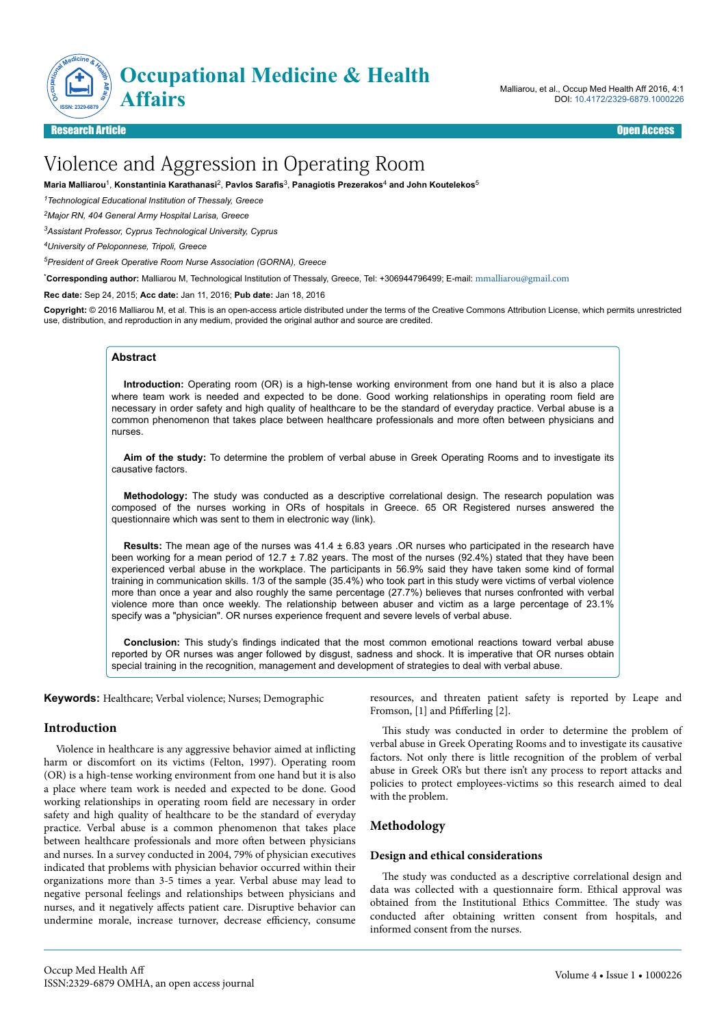

Malliarou, et al., Occup Med Health Aff 2016, 4:1 DOI: 10.4172/2329-6879.1000226

# Research Article Open Access

# Violence and Aggression in Operating Room

**Maria Malliarou**<sup>1</sup> , **Konstantinia Karathanasi**<sup>2</sup> , **Pavlos Sarafis**<sup>3</sup> , **Panagiotis Prezerakos**<sup>4</sup>  **and John Koutelekos**<sup>5</sup>

*<sup>1</sup>Technological Educational Institution of Thessaly, Greece*

*<sup>2</sup>Major RN, 404 General Army Hospital Larisa, Greece*

*<sup>3</sup>Assistant Professor, Cyprus Technological University, Cyprus*

*<sup>4</sup>University of Peloponnese, Tripoli, Greece*

*<sup>5</sup>President of Greek Operative Room Nurse Association (GORNA), Greece*

\***Corresponding author:** Malliarou M, Technological Institution of Thessaly, Greece, Tel: +306944796499; E-mail: [mmalliarou@gmail.com](mailto:mmalliarou@gmail.com)

**Rec date:** Sep 24, 2015; **Acc date:** Jan 11, 2016; **Pub date:** Jan 18, 2016

**Copyright:** © 2016 Malliarou M, et al. This is an open-access article distributed under the terms of the Creative Commons Attribution License, which permits unrestricted use, distribution, and reproduction in any medium, provided the original author and source are credited.

# **Abstract**

**Introduction:** Operating room (OR) is a high-tense working environment from one hand but it is also a place where team work is needed and expected to be done. Good working relationships in operating room field are necessary in order safety and high quality of healthcare to be the standard of everyday practice. Verbal abuse is a common phenomenon that takes place between healthcare professionals and more often between physicians and nurses.

**Aim of the study:** To determine the problem of verbal abuse in Greek Operating Rooms and to investigate its causative factors.

**Methodology:** The study was conducted as a descriptive correlational design. The research population was composed of the nurses working in ORs of hospitals in Greece. 65 OR Registered nurses answered the questionnaire which was sent to them in electronic way (link).

**Results:** The mean age of the nurses was 41.4 ± 6.83 years .OR nurses who participated in the research have been working for a mean period of 12.7 ± 7.82 years. The most of the nurses (92.4%) stated that they have been experienced verbal abuse in the workplace. The participants in 56.9% said they have taken some kind of formal training in communication skills. 1/3 of the sample (35.4%) who took part in this study were victims of verbal violence more than once a year and also roughly the same percentage (27.7%) believes that nurses confronted with verbal violence more than once weekly. The relationship between abuser and victim as a large percentage of 23.1% specify was a "physician". OR nurses experience frequent and severe levels of verbal abuse.

**Conclusion:** This study's findings indicated that the most common emotional reactions toward verbal abuse reported by OR nurses was anger followed by disgust, sadness and shock. It is imperative that OR nurses obtain special training in the recognition, management and development of strategies to deal with verbal abuse.

**Keywords:** Healthcare; Verbal violence; Nurses; Demographic

# **Introduction**

Violence in healthcare is any aggressive behavior aimed at inflicting harm or discomfort on its victims (Felton, 1997). Operating room (OR) is a high-tense working environment from one hand but it is also a place where team work is needed and expected to be done. Good working relationships in operating room field are necessary in order safety and high quality of healthcare to be the standard of everyday practice. Verbal abuse is a common phenomenon that takes place between healthcare professionals and more often between physicians and nurses. In a survey conducted in 2004, 79% of physician executives indicated that problems with physician behavior occurred within their organizations more than 3-5 times a year. Verbal abuse may lead to negative personal feelings and relationships between physicians and nurses, and it negatively affects patient care. Disruptive behavior can undermine morale, increase turnover, decrease efficiency, consume

resources, and threaten patient safety is reported by Leape and Fromson,  $[1]$  and Pfifferling  $[2]$ .

This study was conducted in order to determine the problem of verbal abuse in Greek Operating Rooms and to investigate its causative factors. Not only there is little recognition of the problem of verbal abuse in Greek OR's but there isn't any process to report attacks and policies to protect employees-victims so this research aimed to deal with the problem.

# **Methodology**

#### **Design and ethical considerations**

The study was conducted as a descriptive correlational design and data was collected with a questionnaire form. Ethical approval was obtained from the Institutional Ethics Committee. Нe study was conducted after obtaining written consent from hospitals, and informed consent from the nurses.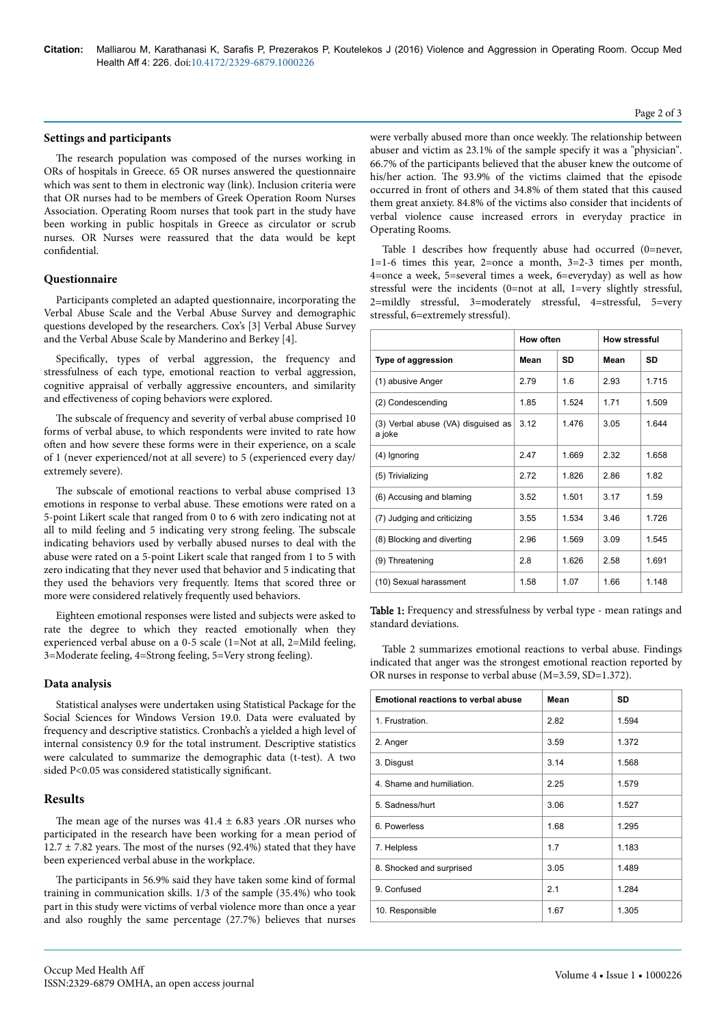#### **Settings and participants**

The research population was composed of the nurses working in ORs of hospitals in Greece. 65 OR nurses answered the questionnaire which was sent to them in electronic way (link). Inclusion criteria were that OR nurses had to be members of Greek Operation Room Nurses Association. Operating Room nurses that took part in the study have been working in public hospitals in Greece as circulator or scrub nurses. OR Nurses were reassured that the data would be kept confidential.

#### **Questionnaire**

Participants completed an adapted questionnaire, incorporating the Verbal Abuse Scale and the Verbal Abuse Survey and demographic questions developed by the researchers. Cox's [3] Verbal Abuse Survey and the Verbal Abuse Scale by Manderino and Berkey [4].

Specifically, types of verbal aggression, the frequency and stressfulness of each type, emotional reaction to verbal aggression, cognitive appraisal of verbally aggressive encounters, and similarity and effectiveness of coping behaviors were explored.

The subscale of frequency and severity of verbal abuse comprised 10 forms of verbal abuse, to which respondents were invited to rate how often and how severe these forms were in their experience, on a scale of 1 (never experienced/not at all severe) to 5 (experienced every day/ extremely severe).

The subscale of emotional reactions to verbal abuse comprised 13 emotions in response to verbal abuse. Нese emotions were rated on a 5-point Likert scale that ranged from 0 to 6 with zero indicating not at all to mild feeling and 5 indicating very strong feeling. Нe subscale indicating behaviors used by verbally abused nurses to deal with the abuse were rated on a 5-point Likert scale that ranged from 1 to 5 with zero indicating that they never used that behavior and 5 indicating that they used the behaviors very frequently. Items that scored three or more were considered relatively frequently used behaviors.

Eighteen emotional responses were listed and subjects were asked to rate the degree to which they reacted emotionally when they experienced verbal abuse on a 0-5 scale (1=Not at all, 2=Mild feeling, 3=Moderate feeling, 4=Strong feeling, 5=Very strong feeling).

# **Data analysis**

Statistical analyses were undertaken using Statistical Package for the Social Sciences for Windows Version 19.0. Data were evaluated by frequency and descriptive statistics. Cronbach's a yielded a high level of internal consistency 0.9 for the total instrument. Descriptive statistics were calculated to summarize the demographic data (t-test). A two sided P<0.05 was considered statistically significant.

# **Results**

The mean age of the nurses was  $41.4 \pm 6.83$  years .OR nurses who participated in the research have been working for a mean period of  $12.7 \pm 7.82$  years. The most of the nurses (92.4%) stated that they have been experienced verbal abuse in the workplace.

The participants in 56.9% said they have taken some kind of formal training in communication skills. 1/3 of the sample (35.4%) who took part in this study were victims of verbal violence more than once a year and also roughly the same percentage (27.7%) believes that nurses

were verbally abused more than once weekly. Нe relationship between abuser and victim as 23.1% of the sample specify it was a "physician". 66.7% of the participants believed that the abuser knew the outcome of his/her action. Нe 93.9% of the victims claimed that the episode occurred in front of others and 34.8% of them stated that this caused them great anxiety. 84.8% of the victims also consider that incidents of verbal violence cause increased errors in everyday practice in Operating Rooms.

Table 1 describes how frequently abuse had occurred (0=never, 1=1-6 times this year, 2=once a month, 3=2-3 times per month, 4=once a week, 5=several times a week, 6=everyday) as well as how stressful were the incidents (0=not at all, 1=very slightly stressful, 2=mildly stressful, 3=moderately stressful, 4=stressful, 5=very stressful, 6=extremely stressful).

|                                              | How often |       | <b>How stressful</b> |       |
|----------------------------------------------|-----------|-------|----------------------|-------|
| Type of aggression                           | Mean      | SD    | Mean                 | SD    |
| (1) abusive Anger                            | 2.79      | 1.6   | 2.93                 | 1.715 |
| (2) Condescending                            | 1.85      | 1.524 | 1.71                 | 1.509 |
| (3) Verbal abuse (VA) disguised as<br>a joke | 3.12      | 1.476 | 3.05                 | 1.644 |
| (4) Ignoring                                 | 2.47      | 1.669 | 2.32                 | 1.658 |
| (5) Trivializing                             | 2.72      | 1.826 | 2.86                 | 1.82  |
| (6) Accusing and blaming                     | 3.52      | 1.501 | 3.17                 | 1.59  |
| (7) Judging and criticizing                  | 3.55      | 1.534 | 346                  | 1726  |
| (8) Blocking and diverting                   | 2.96      | 1.569 | 3.09                 | 1.545 |
| (9) Threatening                              | 2.8       | 1.626 | 2.58                 | 1.691 |
| (10) Sexual harassment                       | 1.58      | 1.07  | 1.66                 | 1.148 |

Table 1: Frequency and stressfulness by verbal type - mean ratings and standard deviations.

Table 2 summarizes emotional reactions to verbal abuse. Findings indicated that anger was the strongest emotional reaction reported by OR nurses in response to verbal abuse (M=3.59, SD=1.372).

| <b>Emotional reactions to verbal abuse</b> | Mean | SD    |
|--------------------------------------------|------|-------|
| 1. Frustration.                            | 2.82 | 1.594 |
| 2. Anger                                   | 3.59 | 1.372 |
| 3. Disgust                                 | 3.14 | 1.568 |
| 4. Shame and humiliation.                  | 2.25 | 1.579 |
| 5. Sadness/hurt                            | 3.06 | 1.527 |
| 6. Powerless                               | 1.68 | 1.295 |
| 7. Helpless                                | 1.7  | 1.183 |
| 8. Shocked and surprised                   | 3.05 | 1.489 |
| 9. Confused                                | 2.1  | 1.284 |
| 10. Responsible                            | 1.67 | 1.305 |

#### Page 2 of 3